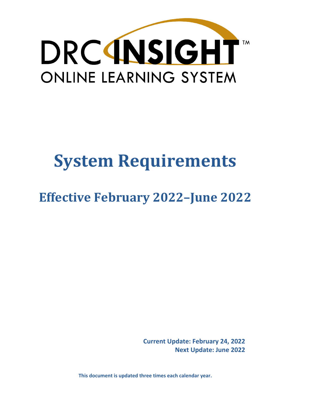

# **System Requirements**

## **Effective February 2022–June 2022**

**Current Update: February 24, 2022 Next Update: June 2022** 

**This document is updated three times each calendar year.**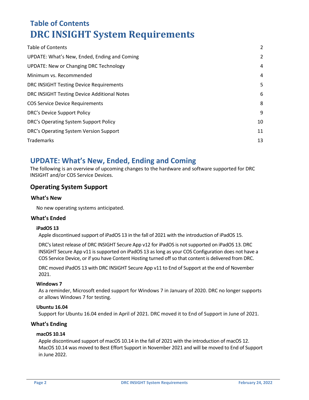## <span id="page-1-0"></span>**Table of Contents DRC INSIGHT System Requirements**

| <b>Table of Contents</b>                      | 2  |
|-----------------------------------------------|----|
| UPDATE: What's New, Ended, Ending and Coming  | 2  |
| <b>UPDATE: New or Changing DRC Technology</b> | 4  |
| Minimum vs. Recommended                       | 4  |
| DRC INSIGHT Testing Device Requirements       | 5  |
| DRC INSIGHT Testing Device Additional Notes   | 6  |
| <b>COS Service Device Requirements</b>        | 8  |
| DRC's Device Support Policy                   | 9  |
| DRC's Operating System Support Policy         | 10 |
| DRC's Operating System Version Support        | 11 |
| Trademarks                                    | 13 |

## <span id="page-1-1"></span>**UPDATE: What's New, Ended, Ending and Coming**

The following is an overview of upcoming changes to the hardware and software supported for DRC INSIGHT and/or COS Service Devices.

#### **Operating System Support**

#### **What's New**

No new operating systems anticipated.

#### **What's Ended**

#### **iPadOS 13**

Apple discontinued support of iPadOS 13 in the fall of 2021 with the introduction of iPadOS 15.

DRC's latest release of DRC INSIGHT Secure App v12 for iPadOS is not supported on iPadOS 13. DRC INSIGHT Secure App v11 is supported on iPadOS 13 as long as your COS Configuration does not have a COS Service Device, or if you have Content Hosting turned off so that content is delivered from DRC.

DRC moved iPadOS 13 with DRC INSIGHT Secure App v11 to End of Support at the end of November 2021.

#### **Windows 7**

As a reminder, Microsoft ended support for Windows 7 in January of 2020. DRC no longer supports or allows Windows 7 for testing.

#### **Ubuntu 16.04**

Support for Ubuntu 16.04 ended in April of 2021. DRC moved it to End of Support in June of 2021.

#### **What's Ending**

#### **macOS 10.14**

Apple discontinued support of macOS 10.14 in the fall of 2021 with the introduction of macOS 12. MacOS 10.14 was moved to Best Effort Support in November 2021 and will be moved to End of Support in June 2022.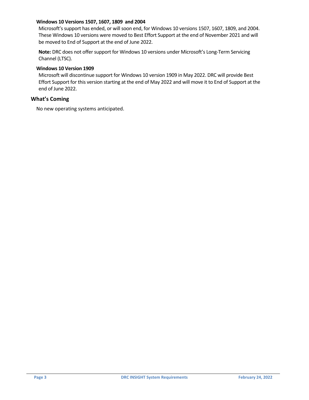#### **Windows 10 Versions 1507, 1607, 1809 and 2004**

Microsoft's support has ended, or will soon end, for Windows 10 versions 1507, 1607, 1809, and 2004. These Windows 10 versions were moved to Best Effort Support at the end of November 2021 and will be moved to End of Support at the end of June 2022.

**Note:** DRC does not offer support for Windows 10 versions under Microsoft's Long-Term Servicing Channel (LTSC).

#### **Windows 10 Version 1909**

Microsoft will discontinue support for Windows 10 version 1909 in May 2022. DRC will provide Best Effort Support for this version starting at the end of May 2022 and will move it to End of Support at the end of June 2022.

#### **What's Coming**

No new operating systems anticipated.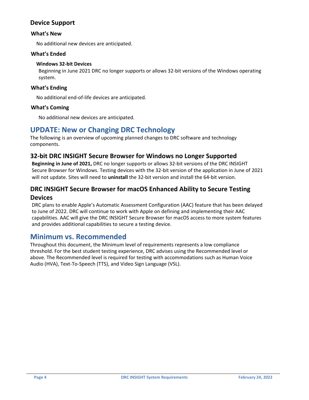#### **Device Support**

#### **What's New**

No additional new devices are anticipated.

#### **What's Ended**

#### **Windows 32-bit Devices**

Beginning in June 2021 DRC no longer supports or allows 32-bit versions of the Windows operating system.

#### **What's Ending**

No additional end-of-life devices are anticipated.

#### **What's Coming**

No additional new devices are anticipated.

### <span id="page-3-0"></span>**UPDATE: New or Changing DRC Technology**

The following is an overview of upcoming planned changes to DRC software and technology components.

#### **32-bit DRC INSIGHT Secure Browser for Windows no Longer Supported**

**Beginning in June of 2021,** DRC no longer supports or allows 32-bit versions of the DRC INSIGHT Secure Browser for Windows. Testing devices with the 32-bit version of the application in June of 2021 will not update. Sites will need to **uninstall** the 32-bit version and install the 64-bit version.

## **DRC INSIGHT Secure Browser for macOS Enhanced Ability to Secure Testing**

#### **Devices**

DRC plans to enable Apple's Automatic Assessment Configuration (AAC) feature that has been delayed to June of 2022. DRC will continue to work with Apple on defining and implementing their AAC capabilities. AAC will give the DRC INSIGHT Secure Browser for macOS access to more system features and provides additional capabilities to secure a testing device.

#### <span id="page-3-1"></span>**Minimum vs. Recommended**

Throughout this document, the Minimum level of requirements represents a low compliance threshold. For the best student testing experience, DRC advises using the Recommended level or above. The Recommended level is required for testing with accommodations such as Human Voice Audio (HVA), Text-To-Speech (TTS), and Video Sign Language (VSL).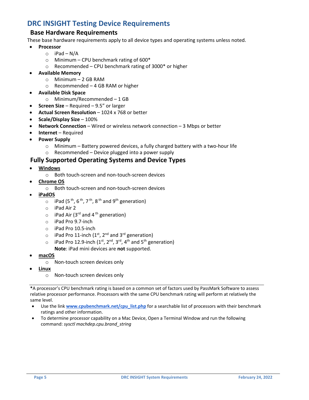## <span id="page-4-0"></span>**DRC INSIGHT Testing Device Requirements**

#### **Base Hardware Requirements**

These base hardware requirements apply to all device types and operating systems unless noted.

#### • **Processor**

- $\circ$  iPad N/A
- $\circ$  Minimum CPU benchmark rating of 600 $^*$
- $\circ$  Recommended CPU benchmark rating of 3000\* or higher
- **Available Memory** 
	- o Minimum 2 GB RAM
	- o Recommended 4 GB RAM or higher
- **Available Disk Space** 
	- o Minimum/Recommended 1 GB
- **Screen Size**  Required 9.5" or larger
- **Actual Screen Resolution** 1024 x 768 or better
- **Scale/Display Size**  100%
- **Network Connection**  Wired or wireless network connection 3 Mbps or better
- **Internet**  Required
- **Power Supply** 
	- $\circ$  Minimum Battery powered devices, a fully charged battery with a two-hour life
	- o Recommended Device plugged into a power supply

#### **Fully Supported Operating Systems and Device Types**

- **Windows**
	- o Both touch-screen and non-touch-screen devices
- **Chrome OS**
	- o Both touch-screen and non-touch-screen devices
- **iPadOS**
	- $\circ$  iPad (5<sup>th</sup>, 6<sup>th</sup>, 7<sup>th</sup>, 8<sup>th</sup> and 9<sup>th</sup> generation)
	- o iPad Air 2
	- $\circ$  iPad Air (3<sup>rd</sup> and 4<sup>th</sup> generation)
	- o iPad Pro 9.7-inch
	- o iPad Pro 10.5-inch
	- $\circ$  iPad Pro 11-inch (1<sup>st</sup>, 2<sup>nd</sup> and 3<sup>rd</sup> generation)
	- $\circ$  iPad Pro 12.9-inch (1<sup>st</sup>, 2<sup>nd</sup>, 3<sup>rd</sup>, 4<sup>th</sup> and 5<sup>th</sup> generation) **Note**: iPad mini devices are **not** supported.
- **macOS**
	- o Non-touch screen devices only
- **Linux**
	- o Non-touch screen devices only

**\***A processor's CPU benchmark rating is based on a common set of factors used by PassMark Software to assess relative processor performance. Processors with the same CPU benchmark rating will perform at relatively the same level.

- Use the link **[www.cpubenchmark.net/cpu\\_list.php](https://www.cpubenchmark.net/cpu_list.php)** for a searchable list of processors with their benchmark ratings and other information.
- To determine processor capability on a Mac Device, Open a Terminal Window and run the following command: *sysctl machdep.cpu.brand\_string*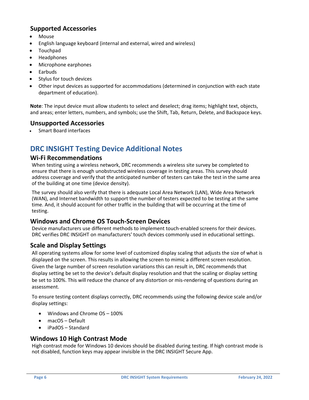#### **Supported Accessories**

- Mouse
- English language keyboard (internal and external, wired and wireless)
- Touchpad
- Headphones
- Microphone earphones
- Earbuds
- Stylus for touch devices
- Other input devices as supported for accommodations (determined in conjunction with each state department of education).

**Note**: The input device must allow students to select and deselect; drag items; highlight text, objects, and areas; enter letters, numbers, and symbols; use the Shift, Tab, Return, Delete, and Backspace keys.

#### **Unsupported Accessories**

• Smart Board interfaces

## <span id="page-5-0"></span>**DRC INSIGHT Testing Device Additional Notes**

#### **Wi-Fi Recommendations**

When testing using a wireless network, DRC recommends a wireless site survey be completed to ensure that there is enough unobstructed wireless coverage in testing areas. This survey should address coverage and verify that the anticipated number of testers can take the test in the same area of the building at one time (device density).

The survey should also verify that there is adequate Local Area Network (LAN), Wide Area Network (WAN), and Internet bandwidth to support the number of testers expected to be testing at the same time. And, it should account for other traffic in the building that will be occurring at the time of testing.

#### **Windows and Chrome OS Touch-Screen Devices**

Device manufacturers use different methods to implement touch-enabled screens for their devices. DRC verifies DRC INSIGHT on manufacturers' touch devices commonly used in educational settings.

#### **Scale and Display Settings**

All operating systems allow for some level of customized display scaling that adjusts the size of what is displayed on the screen. This results in allowing the screen to mimic a different screen resolution. Given the large number of screen resolution variations this can result in, DRC recommends that display setting be set to the device's default display resolution and that the scaling or display setting be set to 100%. This will reduce the chance of any distortion or mis-rendering of questions during an assessment.

To ensure testing content displays correctly, DRC recommends using the following device scale and/or display settings:

- Windows and Chrome OS 100%
- macOS Default
- iPadOS Standard

#### **Windows 10 High Contrast Mode**

High contrast mode for Windows 10 devices should be disabled during testing. If high contrast mode is not disabled, function keys may appear invisible in the DRC INSIGHT Secure App.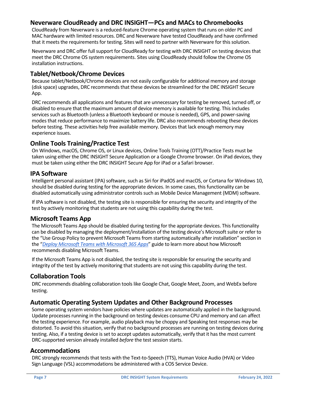#### **Neverware CloudReady and DRC INSIGHT—PCs and MACs to Chromebooks**

CloudReady from Neverware is a reduced-feature Chrome operating system that runs on older PC and MAC hardware with limited resources. DRC and Neverware have tested CloudReady and have confirmed that it meets the requirements for testing. Sites will need to partner with Neverware for this solution.

Neverware and DRC offer full support for CloudReady for testing with DRC INSIGHT on testing devices that meet the DRC Chrome OS system requirements. Sites using CloudReady should follow the Chrome OS installation instructions.

#### **Tablet/Netbook/Chrome Devices**

Because tablet/Netbook/Chrome devices are not easily configurable for additional memory and storage (disk space) upgrades, DRC recommends that these devices be streamlined for the DRC INSIGHT Secure App.

DRC recommends all applications and features that are unnecessary for testing be removed, turned off, or disabled to ensure that the maximum amount of device memory is available for testing. This includes services such as Bluetooth (unless a Bluetooth keyboard or mouse is needed), GPS, and power-saving modes that reduce performance to maximize battery life. DRC also recommends rebooting these devices before testing. These activities help free available memory. Devices that lack enough memory may experience issues.

#### **Online Tools Training/Practice Test**

On Windows, macOS, Chrome OS, or Linux devices, Online Tools Training (OTT)/Practice Tests must be taken using either the DRC INSIGHT Secure Application or a Google Chrome browser. On iPad devices, they must be taken using either the DRC INSIGHT Secure App for iPad or a Safari browser.

#### **IPA Software**

Intelligent personal assistant (IPA) software, such as Siri for iPadOS and macOS, or Cortana for Windows 10, should be disabled during testing for the appropriate devices. In some cases, this functionality can be disabled automatically using administrator controls such as Mobile Device Management (MDM) software.

If IPA software is not disabled, the testing site is responsible for ensuring the security and integrity of the test by actively monitoring that students are not using this capability during the test.

#### **Microsoft Teams App**

The Microsoft Teams App should be disabled during testing for the appropriate devices. This functionality can be disabled by managing the deployment/installation of the testing device's Microsoft suite or refer to the "Use Group Policy to prevent Microsoft Teams from starting automatically after installation" section in the "*[Deploy Microsoft Teams with Microsoft 365 Apps](https://urldefense.proofpoint.com/v2/url?u=https-3A__docs.microsoft.com_en-2Dus_deployoffice_teams-2Dinstall&d=DwMCAw&c=8zrWcxohc8EScTghaWfhULjPi_iW3pFnOBrhZAw_16M&r=14ANI2l60ZByDiye-c2id_GdZFMsPr3L_PWJKS4kCoo&m=MJ-yjmA7HEK7MZoP3HauLIh6fLwtDVtLJNF6dkI9J8k&s=1MAv9eOHzCFNK4nstVuP_LT7dkFviEGT3s_h8A6fWjE&e=)*" guide to learn more about how Microsoft recommends disabling Microsoft Teams.

If the Microsoft Teams App is not disabled, the testing site is responsible for ensuring the security and integrity of the test by actively monitoring that students are not using this capability during the test.

#### **Collaboration Tools**

DRC recommends disabling collaboration tools like Google Chat, Google Meet, Zoom, and WebEx before testing.

#### **Automatic Operating System Updates and Other Background Processes**

Some operating system vendors have policies where updates are automatically applied in the background. Update processes running in the background on testing devices consume CPU and memory and can affect the testing experience. For example, audio playback may be choppy and Speaking test responses may be distorted. To avoid this situation, verify that no background processes are running on testing devices during testing. Also, if a testing device is set to accept updates automatically, verify that it has the most current DRC-supported version already installed *before* the test session starts.

#### **Accommodations**

DRC strongly recommends that tests with the Text-to-Speech (TTS), Human Voice Audio (HVA) or Video Sign Language (VSL) accommodations be administered with a COS Service Device.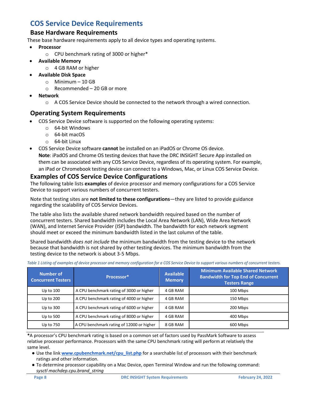## <span id="page-7-0"></span>**COS Service Device Requirements**

#### **Base Hardware Requirements**

These base hardware requirements apply to all device types and operating systems.

- **Processor** 
	- o CPU benchmark rating of 3000 or higher\*
- **Available Memory** 
	- o 4 GB RAM or higher
- **Available Disk Space**
	- o Minimum 10 GB
	- $\circ$  Recommended 20 GB or more
- **Network** 
	- $\circ$  A COS Service Device should be connected to the network through a wired connection.

#### **Operating System Requirements**

- COS Service Device software is supported on the following operating systems:
	- o 64-bit Windows
	- o 64-bit macOS
	- o 64-bit Linux
- COS Service Device software **cannot** be installed on an iPadOS or Chrome OS device.

**Note**: iPadOS and Chrome OS testing devices that have the DRC INSIGHT Secure App installed on them can be associated with any COS Service Device, regardless of its operating system. For example, an iPad or Chromebook testing device can connect to a Windows, Mac, or Linux COS Service Device.

#### **Examples of COS Service Device Configurations**

The following table lists **examples** of device processor and memory configurations for a COS Service Device to support various numbers of concurrent testers.

Note that testing sites are **not limited to these configurations**—they are listed to provide guidance regarding the scalability of COS Service Devices.

The table also lists the available shared network bandwidth required based on the number of concurrent testers. Shared bandwidth includes the Local Area Network (LAN), Wide Area Network (WAN), and Internet Service Provider (ISP) bandwidth. The bandwidth for each network segment should meet or exceed the minimum bandwidth listed in the last column of the table.

Shared bandwidth *does not include* the minimum bandwidth from the testing device to the network because that bandwidth is not shared by other testing devices. The minimum bandwidth from the testing device to the network is about 3-5 Mbps.

| <b>Number of</b><br><b>Concurrent Testers</b> | Processor*                                | <b>Available</b><br><b>Memory</b> | <b>Minimum Available Shared Network</b><br><b>Bandwidth for Top End of Concurrent</b><br><b>Testers Range</b> |
|-----------------------------------------------|-------------------------------------------|-----------------------------------|---------------------------------------------------------------------------------------------------------------|
| Up to $100$                                   | A CPU benchmark rating of 3000 or higher  | 4 GB RAM                          | 100 Mbps                                                                                                      |
| Up to 200                                     | A CPU benchmark rating of 4000 or higher  | 4 GB RAM                          | 150 Mbps                                                                                                      |
| Up to $300$                                   | A CPU benchmark rating of 6000 or higher  | 4 GB RAM                          | 200 Mbps                                                                                                      |
| Up to 500                                     | A CPU benchmark rating of 8000 or higher  | 4 GB RAM                          | 400 Mbps                                                                                                      |
| Up to 750                                     | A CPU benchmark rating of 12000 or higher | 8 GB RAM                          | 600 Mbps                                                                                                      |

*Table 1 Listing of examples of device processor and memory configuration for a COS Service Device to support various numbers of concurrent testers.*

**\***A processor's CPU benchmark rating is based on a common set of factors used by PassMark Software to assess relative processor performance. Processors with the same CPU benchmark rating will perform at relatively the same level.

- Use the link **[www.cpubenchmark.net/cpu\\_list.php](https://www.cpubenchmark.net/cpu_list.php)** for a searchable list of processors with their benchmark ratings and other information.
- To determine processor capability on a Mac Device, open Terminal Window and run the following command: *sysctl machdep.cpu.brand\_string*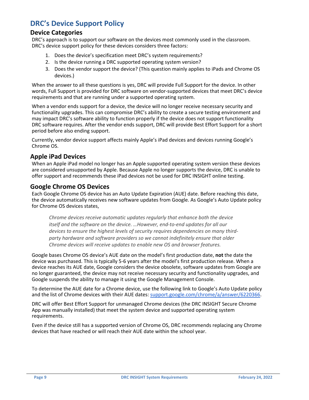## <span id="page-8-0"></span>**DRC's Device Support Policy**

#### **Device Categories**

DRC's approach is to support our software on the devices most commonly used in the classroom. DRC's device support policy for these devices considers three factors:

- 1. Does the device's specification meet DRC's system requirements?
- 2. Is the device running a DRC supported operating system version?
- 3. Does the vendor support the device? (This question mainly applies to iPads and Chrome OS devices.)

When the answer to all these questions is yes, DRC will provide Full Support for the device. In other words, Full Support is provided for DRC software on vendor-supported devices that meet DRC's device requirements and that are running under a supported operating system.

When a vendor ends support for a device, the device will no longer receive necessary security and functionality upgrades. This can compromise DRC's ability to create a secure testing environment and may impact DRC's software ability to function properly if the device does not support functionality DRC software requires. After the vendor ends support, DRC will provide Best Effort Support for a short period before also ending support.

Currently, vendor device support affects mainly Apple's iPad devices and devices running Google's Chrome OS.

#### **Apple iPad Devices**

When an Apple iPad model no longer has an Apple supported operating system version these devices are considered unsupported by Apple. Because Apple no longer supports the device, DRC is unable to offer support and recommends these iPad devices not be used for DRC INSIGHT online testing.

#### **Google Chrome OS Devices**

Each Google Chrome OS device has an Auto Update Expiration (AUE) date. Before reaching this date, the device automatically receives new software updates from Google. As Google's Auto Update policy for Chrome OS devices states,

*Chrome devices receive automatic updates regularly that enhance both the device itself and the software on the device. …However, end-to-end updates for all our devices to ensure the highest levels of security requires dependencies on many thirdparty hardware and software providers so we cannot indefinitely ensure that older Chrome devices will receive updates to enable new OS and browser features.*

Google bases Chrome OS device's AUE date on the model's first production date, **not** the date the device was purchased. This is typically 5-6 years after the model's first production release. When a device reaches its AUE date, Google considers the device obsolete, software updates from Google are no longer guaranteed, the device may not receive necessary security and functionality upgrades, and Google suspends the ability to manage it using the Google Management Console.

To determine the AUE date for a Chrome device, use the following link to Google's Auto Update policy and the list of Chrome devices with their AUE dates: [support.google.com/chrome/a/answer/6220366.](https://support.google.com/chrome/a/answer/6220366)

DRC will offer Best Effort Support for unmanaged Chrome devices (the DRC INSIGHT Secure Chrome App was manually installed) that meet the system device and supported operating system requirements.

Even if the device still has a supported version of Chrome OS, DRC recommends replacing any Chrome devices that have reached or will reach their AUE date within the school year.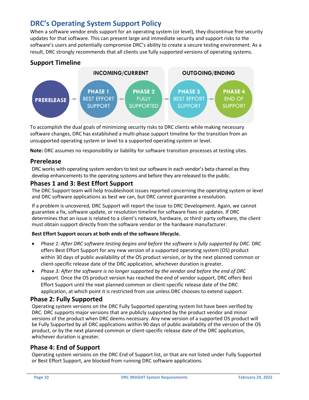## <span id="page-9-0"></span>**DRC's Operating System Support Policy**

When a software vendor ends support for an operating system (or level), they discontinue free security updates for that software. This can present large and immediate security and support risks to the software's users and potentially compromise DRC's ability to create a secure testing environment. As a result, DRC strongly recommends that all clients use fully supported versions of operating systems.

#### **Support Timeline**



To accomplish the dual goals of minimizing security risks to DRC clients while making necessary software changes, DRC has established a multi-phase support timeline for the transition from an unsupported operating system or level to a supported operating system or level.

**Note:** DRC assumes no responsibility or liability for software transition processes at testing sites.

#### **Prerelease**

DRC works with operating system vendors to test our software in each vendor's beta channel as they develop enhancements to the operating systems and before they are released to the public.

#### **Phases 1 and 3: Best Effort Support**

The DRC Support team will help troubleshoot issues reported concerning the operating system or level and DRC software applications as best we can, but DRC cannot guarantee a resolution.

If a problem is uncovered, DRC Support will report the issue to DRC Development. Again, we cannot guarantee a fix, software update, or resolution timeline for software fixes or updates. If DRC determines that an issue is related to a client's network, hardware, or third-party software, the client must obtain support directly from the software vendor or the hardware manufacturer.

#### **Best Effort Support occurs at both ends of the software lifecycle.**

- Phase 1: After DRC software testing begins and before the software is fully supported by DRC. DRC offers Best Effort Support for any new version of a supported operating system (OS) product within 30 days of public availability of the OS product version, or by the next planned common or client-specific release date of the DRC application, whichever duration is greater.
- *Phase 3: After the software is no longer supported by the vendor and before the end of DRC support.* Once the OS product version has reached the end of vendor support, DRC offers Best Effort Support until the next planned common or client-specific release date of the DRC application, at which point it is restricted from use unless DRC chooses to extend support.

#### **Phase 2: Fully Supported**

Operating system versions on the DRC Fully Supported operating system list have been verified by DRC. DRC supports major versions that are publicly supported by the product vendor and minor versions of the product when DRC deems necessary. Any new version of a supported OS product will be Fully Supported by all DRC applications within 90 days of public availability of the version of the OS product, or by the next planned common or client-specific release date of the DRC application, whichever duration is greater.

#### **Phase 4: End of Support**

Operating system versions on the DRC End of Support list, or that are not listed under Fully Supported or Best Effort Support, are blocked from running DRC software applications.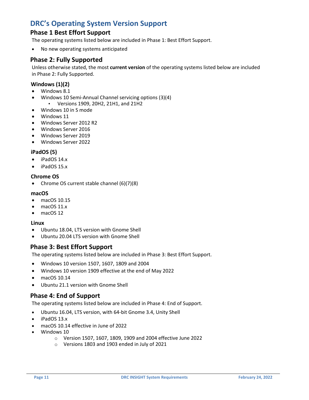## <span id="page-10-0"></span>**DRC's Operating System Version Support**

#### **Phase 1 Best Effort Support**

The operating systems listed below are included in Phase 1: Best Effort Support.

• No new operating systems anticipated

#### **Phase 2: Fully Supported**

Unless otherwise stated, the most **current version** of the operating systems listed below are included in Phase 2: Fully Supported.

#### **Windows (1)(2)**

- Windows 8.1
- Windows 10 Semi-Annual Channel servicing options (3)(4) ▪ Versions 1909, 20H2, 21H1, and 21H2
- Windows 10 in S mode
- Windows 11
- Windows Server 2012 R2
- Windows Server 2016
- Windows Server 2019
- Windows Server 2022

#### **iPadOS (5)**

- iPadOS 14.x
- iPadOS 15.x

#### **Chrome OS**

• Chrome OS current stable channel (6)(7)(8)

#### **macOS**

- macOS 10.15
- macOS 11.x
- macOS 12

#### **Linux**

- Ubuntu 18.04, LTS version with Gnome Shell
- Ubuntu 20.04 LTS version with Gnome Shell

#### **Phase 3: Best Effort Support**

The operating systems listed below are included in Phase 3: Best Effort Support.

- Windows 10 version 1507, 1607, 1809 and 2004
- Windows 10 version 1909 effective at the end of May 2022
- macOS 10.14
- Ubuntu 21.1 version with Gnome Shell

#### **Phase 4: End of Support**

The operating systems listed below are included in Phase 4: End of Support.

- Ubuntu 16.04, LTS version, with 64-bit Gnome 3.4, Unity Shell
- iPadOS 13.x
- macOS 10.14 effective in June of 2022
- Windows 10
	- o Version 1507, 1607, 1809, 1909 and 2004 effective June 2022
	- o Versions 1803 and 1903 ended in July of 2021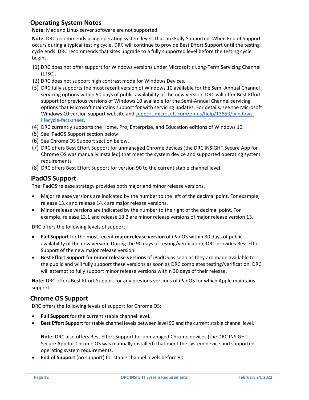#### **Operating System Notes**

**Note**: Mac and Linux server software are not supported.

**Note**: DRC recommends using operating system levels that are Fully Supported. When End of Support occurs during a typical testing cycle, DRC will continue to provide Best Effort Support until the testing cycle ends. DRC recommends that sites upgrade to a fully supported level before the testing cycle begins.

- (1) DRC does not offer support for Windows versions under Microsoft's Long-Term Servicing Channel (LTSC).
- (2) DRC does not support high contrast mode for Windows Devices.
- (3) DRC fully supports the most recent version of Windows 10 available for the Semi-Annual Channel servicing options within 90 days of public availability of the new version. DRC will offer Best Effort support for previous versions of Windows 10 available for the Semi-Annual Channel servicing options that Microsoft maintains support for with servicing updates. For details, see the Microsoft Windows 10 version support website and [support.microsoft.com/en-us/help/13853/windows](https://support.microsoft.com/en-us/help/13853/windows-lifecycle-fact-sheet)[lifecycle-fact-sheet.](https://support.microsoft.com/en-us/help/13853/windows-lifecycle-fact-sheet)
- (4) DRC currently supports the Home, Pro, Enterprise, and Education editions of Windows 10.
- (5) [See iPadOS Support](https://support.microsoft.com/en-us/help/13853/windows-lifecycle-fact-sheet) section below
- (6) See Chrome OS Support section below.
- (7) DRC offers Best Effort Support for unmanaged Chrome devices (the DRC INSIGHT Secure App for Chrome OS was manually installed) that meet the system device and supported operating system requirements
- (8) DRC offers Best Effort Support for version 90 to the current stable channel level.

#### **iPadOS Support**

The iPadOS release strategy provides both major and minor release versions.

- Major release versions are indicated by the number to the left of the decimal point. For example, release 13.x and release 14.x are major release versions.
- Minor release versions are indicated by the number to the right of the decimal point. For example, release 13.1 and release 13.2 are minor release versions of major release version 13.

DRC offers the following levels of support:

- **Full Support** for the most recent **major release version** of iPadOS within 90 days of public availability of the new version. During the 90 days of testing/verification, DRC provides Best Effort Support of the new major release version.
- **Best Effort Support** for **minor release versions** of iPadOS as soon as they are made available to the public and will fully support these versions as soon as DRC completes testing/verification. DRC will attempt to fully support minor release versions within 30 days of their release.

**Note:** DRC offers Best Effort Support for any previous versions of iPadOS for which Apple maintains support.

#### **Chrome OS Support**

DRC offers the following levels of support for Chrome OS:

- **Full Support** for the current stable channel level.
- **Best Effort Support** for stable channel levels between level 90 and the current stable channel level.

**Note:** DRC also offers Best Effort Support for unmanaged Chrome devices (the DRC INSIGHT Secure App for Chrome OS was manually installed) that meet the system device and supported operating system requirements.

• **End of Support** (no support) for stable channel levels before 90.